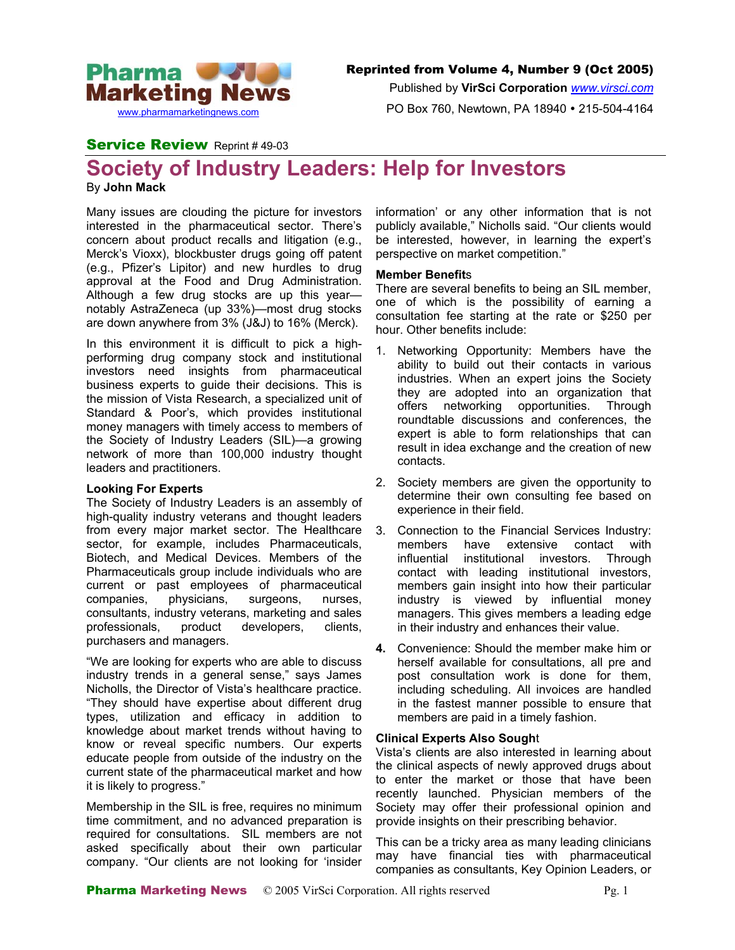

Published by **VirSci Corporation** *[www.virsci.com](http://www.virsci.com/)*

PO Box 760, Newtown, PA 18940 • 215-504-4164

# Service Review Reprint #49-03

# **Society of Industry Leaders: Help for Investors**

By **John Mack**

Many issues are clouding the picture for investors interested in the pharmaceutical sector. There's concern about product recalls and litigation (e.g., Merck's Vioxx), blockbuster drugs going off patent (e.g., Pfizer's Lipitor) and new hurdles to drug approval at the Food and Drug Administration. Although a few drug stocks are up this year notably AstraZeneca (up 33%)—most drug stocks are down anywhere from 3% (J&J) to 16% (Merck).

In this environment it is difficult to pick a highperforming drug company stock and institutional investors need insights from pharmaceutical business experts to guide their decisions. This is the mission of Vista Research, a specialized unit of Standard & Poor's, which provides institutional money managers with timely access to members of the Society of Industry Leaders (SIL)—a growing network of more than 100,000 industry thought leaders and practitioners.

## **Looking For Experts**

The Society of Industry Leaders is an assembly of high-quality industry veterans and thought leaders from every major market sector. The Healthcare sector, for example, includes Pharmaceuticals, Biotech, and Medical Devices. Members of the Pharmaceuticals group include individuals who are current or past employees of pharmaceutical companies, physicians, surgeons, nurses, consultants, industry veterans, marketing and sales professionals, product developers, clients, purchasers and managers.

"We are looking for experts who are able to discuss industry trends in a general sense," says James Nicholls, the Director of Vista's healthcare practice. "They should have expertise about different drug types, utilization and efficacy in addition to knowledge about market trends without having to know or reveal specific numbers. Our experts educate people from outside of the industry on the current state of the pharmaceutical market and how it is likely to progress."

Membership in the SIL is free, requires no minimum time commitment, and no advanced preparation is required for consultations. SIL members are not asked specifically about their own particular company. "Our clients are not looking for 'insider information' or any other information that is not publicly available," Nicholls said. "Our clients would be interested, however, in learning the expert's perspective on market competition."

## **Member Benefit**s

There are several benefits to being an SIL member, one of which is the possibility of earning a consultation fee starting at the rate or \$250 per hour. Other benefits include:

- 1. Networking Opportunity: Members have the ability to build out their contacts in various industries. When an expert joins the Society they are adopted into an organization that offers networking opportunities. Through roundtable discussions and conferences, the expert is able to form relationships that can result in idea exchange and the creation of new contacts.
- 2. Society members are given the opportunity to determine their own consulting fee based on experience in their field.
- 3. Connection to the Financial Services Industry: members have extensive contact with influential institutional investors. Through contact with leading institutional investors, members gain insight into how their particular industry is viewed by influential money managers. This gives members a leading edge in their industry and enhances their value.
- **4.** Convenience: Should the member make him or herself available for consultations, all pre and post consultation work is done for them, including scheduling. All invoices are handled in the fastest manner possible to ensure that members are paid in a timely fashion.

## **Clinical Experts Also Sough**t

Vista's clients are also interested in learning about the clinical aspects of newly approved drugs about to enter the market or those that have been recently launched. Physician members of the Society may offer their professional opinion and provide insights on their prescribing behavior.

This can be a tricky area as many leading clinicians may have financial ties with pharmaceutical companies as consultants, Key Opinion Leaders, or